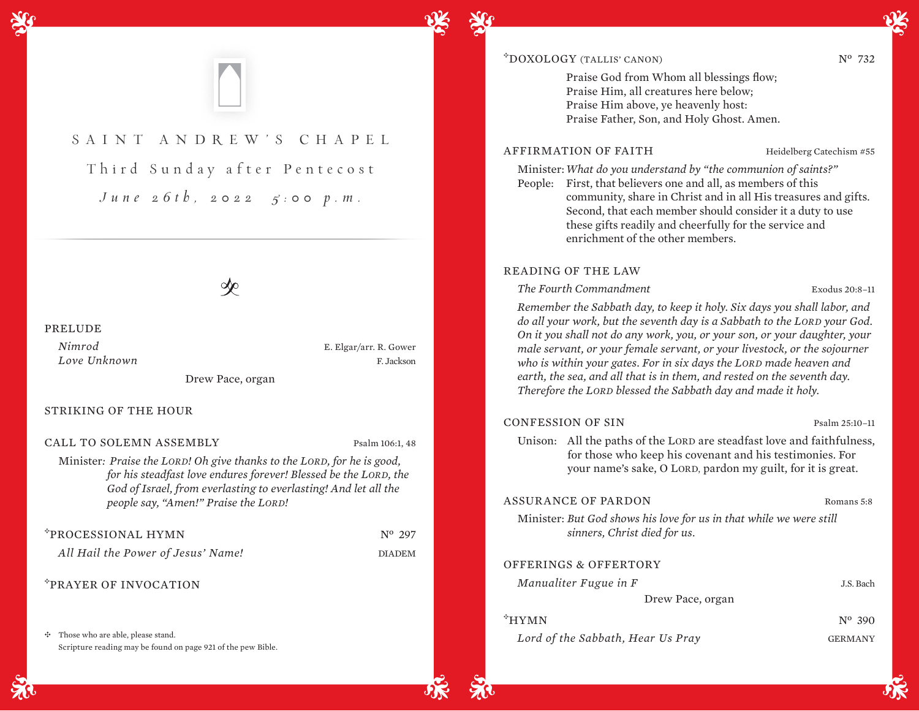

# SAINT ANDR EW'S CHAPEL

Third Sunday after Pentecost *June 26th, 2022 5:00 p.m.*

 $\infty$ 

#### PRELUDE

*Nimrod* E. Elgar/arr. R. Gower *Love Unknown* F. Jackson

Drew Pace, organ

#### STRIKING OF THE HOUR

CALL TO SOLEMN ASSEMBLY Psalm 106:1, 48

Minister*: Praise the LORD! Oh give thanks to the LORD, for he is good, for his steadfast love endures forever! Blessed be the LORD, the God of Israel, from everlasting to everlasting! And let all the people say, "Amen!" Praise the LORD!*

| *PROCESSIONAL HYMN                 | $N^{\rm o}$ 297 |
|------------------------------------|-----------------|
| All Hail the Power of Jesus' Name! | <b>DIADEM</b>   |

# <sup>E</sup>PRAYER OF INVOCATION

 $\div$  Those who are able, please stand. Scripture reading may be found on page 921 of the pew Bible.

# $\text{FDOXOLOGY (TALLIS' CANON)}$   $N^0$  732

Praise God from Whom all blessings flow; Praise Him, all creatures here below; Praise Him above, ye heavenly host: Praise Father, Son, and Holy Ghost. Amen.

# AFFIRMATION OF FAITH Heidelberg Catechism #55

Minister:*What do you understand by "the communion of saints?"*

People: First, that believers one and all, as members of this community, share in Christ and in all His treasures and gifts. Second, that each member should consider it a duty to use these gifts readily and cheerfully for the service and enrichment of the other members.

## READING OF THE LAW

*The Fourth Commandment* Exodus 20:8–11

*Remember the Sabbath day, to keep it holy. Six days you shall labor, and do all your work, but the seventh day is a Sabbath to the LORD your God. On it you shall not do any work, you, or your son, or your daughter, your male servant, or your female servant, or your livestock, or the sojourner who is within your gates. For in six days the LORD made heaven and earth, the sea, and all that is in them, and rested on the seventh day. Therefore the LORD blessed the Sabbath day and made it holy.* 

#### CONFESSION OF SIN Psalm 25:10-11

Unison: All the paths of the LORD are steadfast love and faithfulness, for those who keep his covenant and his testimonies. For your name's sake, O LORD, pardon my guilt, for it is great.

# ASSURANCE OF PARDON Romans 5:8

Minister: *But God shows his love for us in that while we were still sinners, Christ died for us.* 

## OFFERINGS & OFFERTORY

| Manualiter Fugue in F             | J.S. Bach       |
|-----------------------------------|-----------------|
| Drew Pace, organ                  |                 |
| <sup>‡</sup> HYMN                 | $N^{\circ}$ 390 |
| Lord of the Sabbath, Hear Us Pray | <b>GERMANY</b>  |
|                                   |                 |